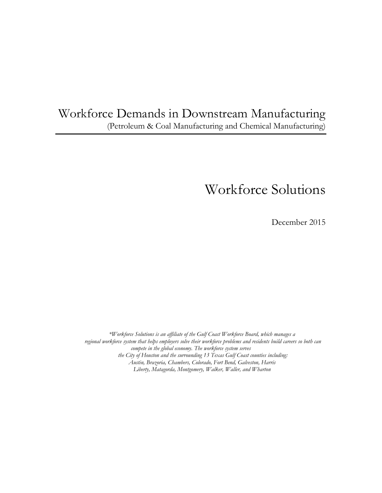# Workforce Demands in Downstream Manufacturing (Petroleum & Coal Manufacturing and Chemical Manufacturing)

# Workforce Solutions

December 2015

*\*Workforce Solutions is an affiliate of the Gulf Coast Workforce Board, which manages a regional workforce system that helps employers solve their workforce problems and residents build careers so both can compete in the global economy. The workforce system serves the City of Houston and the surrounding 13 Texas Gulf Coast counties including: Austin, Brazoria, Chambers, Colorado, Fort Bend, Galveston, Harris Liberty, Matagorda, Montgomery, Walker, Waller, and Wharton*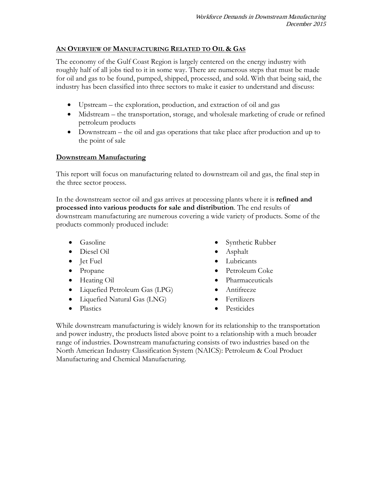#### **AN OVERVIEW OF MANUFACTURING RELATED TO OIL & GAS**

The economy of the Gulf Coast Region is largely centered on the energy industry with roughly half of all jobs tied to it in some way. There are numerous steps that must be made for oil and gas to be found, pumped, shipped, processed, and sold. With that being said, the industry has been classified into three sectors to make it easier to understand and discuss:

- Upstream the exploration, production, and extraction of oil and gas
- Midstream the transportation, storage, and wholesale marketing of crude or refined petroleum products
- Downstream the oil and gas operations that take place after production and up to the point of sale

#### **Downstream Manufacturing**

This report will focus on manufacturing related to downstream oil and gas, the final step in the three sector process.

In the downstream sector oil and gas arrives at processing plants where it is **refined and processed into various products for sale and distribution**. The end results of downstream manufacturing are numerous covering a wide variety of products. Some of the products commonly produced include:

- Gasoline
- Diesel Oil
- Jet Fuel
- Propane
- Heating Oil
- Liquefied Petroleum Gas (LPG)
- Liquefied Natural Gas (LNG)
- Plastics
- Synthetic Rubber
- Asphalt
- Lubricants
- Petroleum Coke
- Pharmaceuticals
- Antifreeze
- Fertilizers
- Pesticides

While downstream manufacturing is widely known for its relationship to the transportation and power industry, the products listed above point to a relationship with a much broader range of industries. Downstream manufacturing consists of two industries based on the North American Industry Classification System (NAICS): Petroleum & Coal Product Manufacturing and Chemical Manufacturing.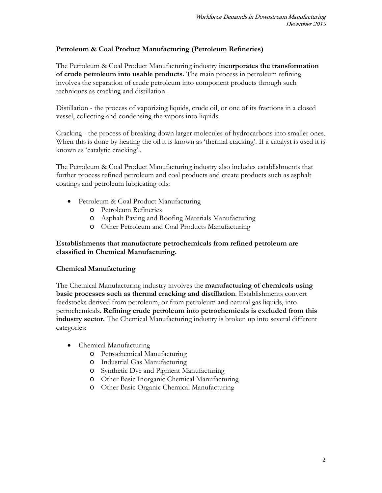#### **Petroleum & Coal Product Manufacturing (Petroleum Refineries)**

The Petroleum & Coal Product Manufacturing industry **incorporates the transformation of crude petroleum into usable products.** The main process in petroleum refining involves the separation of crude petroleum into component products through such techniques as cracking and distillation.

Distillation - the process of vaporizing liquids, crude oil, or one of its fractions in a closed vessel, collecting and condensing the vapors into liquids.

Cracking - the process of breaking down larger molecules of hydrocarbons into smaller ones. When this is done by heating the oil it is known as 'thermal cracking'. If a catalyst is used it is known as 'catalytic cracking'..

The Petroleum & Coal Product Manufacturing industry also includes establishments that further process refined petroleum and coal products and create products such as asphalt coatings and petroleum lubricating oils:

- Petroleum & Coal Product Manufacturing
	- o Petroleum Refineries
	- o Asphalt Paving and Roofing Materials Manufacturing
	- o Other Petroleum and Coal Products Manufacturing

#### **Establishments that manufacture petrochemicals from refined petroleum are classified in Chemical Manufacturing.**

#### **Chemical Manufacturing**

The Chemical Manufacturing industry involves the **manufacturing of chemicals using basic processes such as thermal cracking and distillation**. Establishments convert feedstocks derived from petroleum, or from petroleum and natural gas liquids, into petrochemicals. **Refining crude petroleum into petrochemicals is excluded from this industry sector.** The Chemical Manufacturing industry is broken up into several different categories:

- Chemical Manufacturing
	- o Petrochemical Manufacturing
	- o Industrial Gas Manufacturing
	- o Synthetic Dye and Pigment Manufacturing
	- o Other Basic Inorganic Chemical Manufacturing
	- o Other Basic Organic Chemical Manufacturing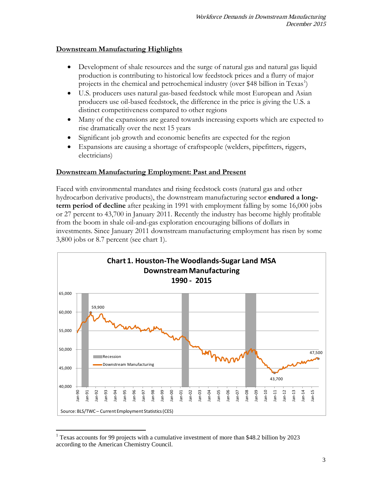#### **Downstream Manufacturing Highlights**

- Development of shale resources and the surge of natural gas and natural gas liquid production is contributing to historical low feedstock prices and a flurry of major projects in the chemical and petrochemical industry (over \$48 billion in  $Texas<sup>1</sup>$  $Texas<sup>1</sup>$  $Texas<sup>1</sup>$ )
- U.S. producers uses natural gas-based feedstock while most European and Asian producers use oil-based feedstock, the difference in the price is giving the U.S. a distinct competitiveness compared to other regions
- Many of the expansions are geared towards increasing exports which are expected to rise dramatically over the next 15 years
- Significant job growth and economic benefits are expected for the region
- Expansions are causing a shortage of craftspeople (welders, pipefitters, riggers, electricians)

## **Downstream Manufacturing Employment: Past and Present**

Faced with environmental mandates and rising feedstock costs (natural gas and other hydrocarbon derivative products), the downstream manufacturing sector **endured a longterm period of decline** after peaking in 1991 with employment falling by some 16,000 jobs or 27 percent to 43,700 in January 2011. Recently the industry has become highly profitable from the boom in shale oil-and-gas exploration encouraging billions of dollars in investments. Since January 2011 downstream manufacturing employment has risen by some 3,800 jobs or 8.7 percent (see chart 1).



<span id="page-3-0"></span> <sup>1</sup> Texas accounts for 99 projects with a cumulative investment of more than \$48.2 billion by 2023 according to the American Chemistry Council.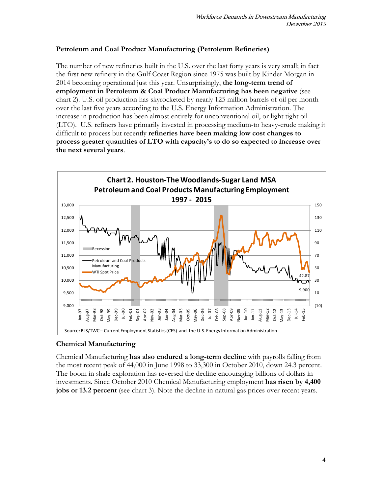#### **Petroleum and Coal Product Manufacturing (Petroleum Refineries)**

The number of new refineries built in the U.S. over the last forty years is very small; in fact the first new refinery in the Gulf Coast Region since 1975 was built by Kinder Morgan in 2014 becoming operational just this year. Unsurprisingly, **the long-term trend of employment in Petroleum & Coal Product Manufacturing has been negative** (see chart 2). U.S. oil production has skyrocketed by nearly 125 million barrels of oil per month over the last five years according to the U.S. Energy Information Administration. The increase in production has been almost entirely for unconventional oil, or light tight oil (LTO). U.S. refiners have primarily invested in processing medium-to heavy-crude making it difficult to process but recently **refineries have been making low cost changes to process greater quantities of LTO with capacity's to do so expected to increase over the next several years**.



## **Chemical Manufacturing**

Chemical Manufacturing **has also endured a long-term decline** with payrolls falling from the most recent peak of 44,000 in June 1998 to 33,300 in October 2010, down 24.3 percent. The boom in shale exploration has reversed the decline encouraging billions of dollars in investments. Since October 2010 Chemical Manufacturing employment **has risen by 4,400 jobs or 13.2 percent** (see chart 3). Note the decline in natural gas prices over recent years.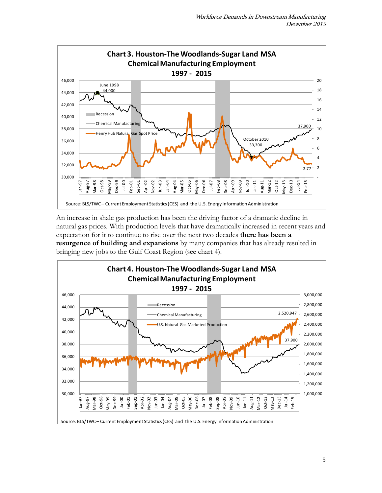

An increase in shale gas production has been the driving factor of a dramatic decline in natural gas prices. With production levels that have dramatically increased in recent years and expectation for it to continue to rise over the next two decades **there has been a resurgence of building and expansions** by many companies that has already resulted in bringing new jobs to the Gulf Coast Region (see chart 4).

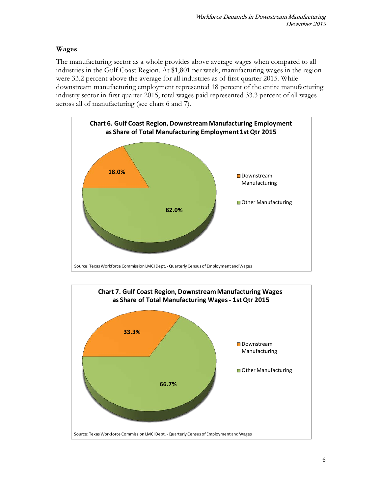# **Wages**

The manufacturing sector as a whole provides above average wages when compared to all industries in the Gulf Coast Region. At \$1,801 per week, manufacturing wages in the region were 33.2 percent above the average for all industries as of first quarter 2015. While downstream manufacturing employment represented 18 percent of the entire manufacturing industry sector in first quarter 2015, total wages paid represented 33.3 percent of all wages across all of manufacturing (see chart 6 and 7).



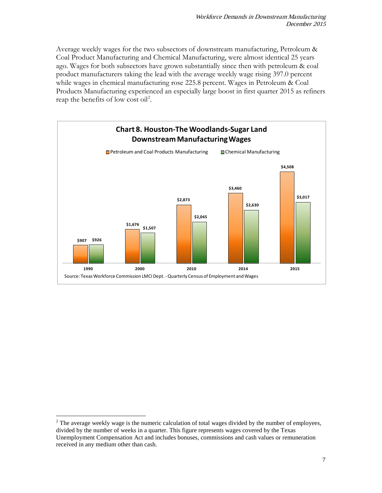Average weekly wages for the two subsectors of downstream manufacturing, Petroleum & Coal Product Manufacturing and Chemical Manufacturing, were almost identical 25 years ago. Wages for both subsectors have grown substantially since then with petroleum & coal product manufacturers taking the lead with the average weekly wage rising 397.0 percent while wages in chemical manufacturing rose 225.8 percent. Wages in Petroleum & Coal Products Manufacturing experienced an especially large boost in first quarter 2015 as refiners reap the benefits of low cost oil<sup>[2](#page-7-0)</sup>.



<span id="page-7-0"></span> $2$  The average weekly wage is the numeric calculation of total wages divided by the number of employees, divided by the number of weeks in a quarter. This figure represents wages covered by the Texas Unemployment Compensation Act and includes bonuses, commissions and cash values or remuneration received in any medium other than cash.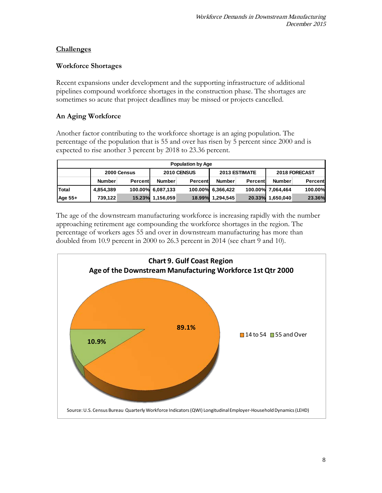#### **Challenges**

#### **Workforce Shortages**

Recent expansions under development and the supporting infrastructure of additional pipelines compound workforce shortages in the construction phase. The shortages are sometimes so acute that project deadlines may be missed or projects cancelled.

## **An Aging Workforce**

Another factor contributing to the workforce shortage is an aging population. The percentage of the population that is 55 and over has risen by 5 percent since 2000 and is expected to rise another 3 percent by 2018 to 23.36 percent.

| <b>Population by Age</b> |               |         |                   |         |                   |         |                   |         |  |
|--------------------------|---------------|---------|-------------------|---------|-------------------|---------|-------------------|---------|--|
|                          | 2000 Census   |         | 2010 CENSUS       |         | 2013 ESTIMATE     |         | 2018 FORECAST     |         |  |
|                          | <b>Number</b> | Percent | <b>Number</b>     | Percent | <b>Number</b>     | Percent | Number            | Percent |  |
| Total                    | 4,854,389     |         | 100.00% 6,087,133 |         | 100.00% 6,366,422 |         | 100.00% 7.064,464 | 100.00% |  |
| Age 55+                  | 739,122       | 15.23%  | 1,156,059         | 18.99%  | 1,294,545         | 20.33%  | 1,650,040         | 23.36%  |  |

The age of the downstream manufacturing workforce is increasing rapidly with the number approaching retirement age compounding the workforce shortages in the region. The percentage of workers ages 55 and over in downstream manufacturing has more than doubled from 10.9 percent in 2000 to 26.3 percent in 2014 (see chart 9 and 10).

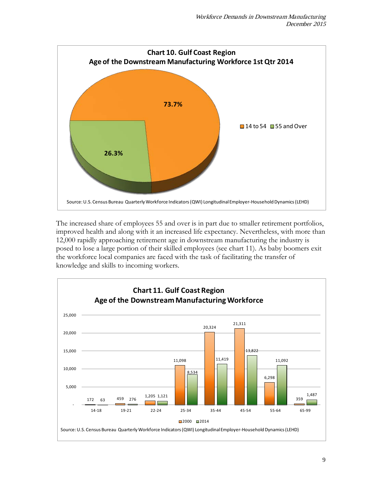

The increased share of employees 55 and over is in part due to smaller retirement portfolios, improved health and along with it an increased life expectancy. Nevertheless, with more than 12,000 rapidly approaching retirement age in downstream manufacturing the industry is posed to lose a large portion of their skilled employees (see chart 11). As baby boomers exit the workforce local companies are faced with the task of facilitating the transfer of knowledge and skills to incoming workers.

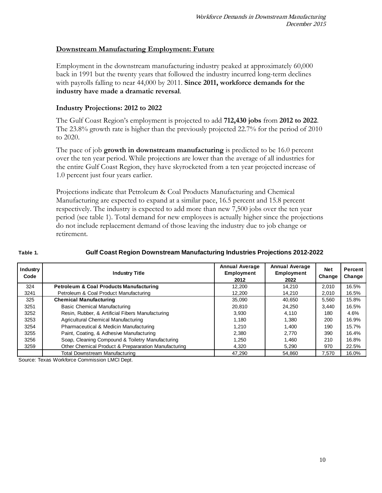#### **Downstream Manufacturing Employment: Future**

Employment in the downstream manufacturing industry peaked at approximately 60,000 back in 1991 but the twenty years that followed the industry incurred long-term declines with payrolls falling to near 44,000 by 2011. **Since 2011, workforce demands for the industry have made a dramatic reversal**.

#### **Industry Projections: 2012 to 2022**

The Gulf Coast Region's employment is projected to add **712,430 jobs** from **2012 to 2022**. The 23.8% growth rate is higher than the previously projected 22.7% for the period of 2010 to 2020.

The pace of job **growth in downstream manufacturing** is predicted to be 16.0 percent over the ten year period. While projections are lower than the average of all industries for the entire Gulf Coast Region, they have skyrocketed from a ten year projected increase of 1.0 percent just four years earlier.

Projections indicate that Petroleum & Coal Products Manufacturing and Chemical Manufacturing are expected to expand at a similar pace, 16.5 percent and 15.8 percent respectively. The industry is expected to add more than new 7,500 jobs over the ten year period (see table 1). Total demand for new employees is actually higher since the projections do not include replacement demand of those leaving the industry due to job change or retirement.

#### **Table 1.**

#### **Gulf Coast Region Downstream Manufacturing Industries Projections 2012-2022**

| Industry<br>Code | <b>Industry Title</b>                                | <b>Annual Average</b><br>Employment<br>2012 | <b>Annual Average</b><br><b>Employment</b><br>2022 | <b>Net</b><br>Change | Percent<br>Change |
|------------------|------------------------------------------------------|---------------------------------------------|----------------------------------------------------|----------------------|-------------------|
| 324              | <b>Petroleum &amp; Coal Products Manufacturing</b>   | 12,200                                      | 14.210                                             | 2.010                | 16.5%             |
| 3241             | Petroleum & Coal Product Manufacturing               | 12,200                                      | 14.210                                             | 2.010                | 16.5%             |
| 325              | <b>Chemical Manufacturing</b>                        | 35.090                                      | 40,650                                             | 5.560                | 15.8%             |
| 3251             | <b>Basic Chemical Manufacturing</b>                  | 20.810                                      | 24.250                                             | 3.440                | 16.5%             |
| 3252             | Resin, Rubber, & Artificial Fibers Manufacturing     | 3.930                                       | 4.110                                              | 180                  | 4.6%              |
| 3253             | Agricultural Chemical Manufacturing                  | 1.180                                       | 1.380                                              | 200                  | 16.9%             |
| 3254             | Pharmaceutical & Medicin Manufacturing               | 1.210                                       | 1.400                                              | 190                  | 15.7%             |
| 3255             | Paint, Coating, & Adhesive Manufacturing             | 2,380                                       | 2.770                                              | 390                  | 16.4%             |
| 3256             | Soap, Cleaning Compound & Toiletry Manufacturing     | 1,250                                       | 1.460                                              | 210                  | 16.8%             |
| 3259             | Other Chemical Product & Prepararation Manufacturing | 4.320                                       | 5.290                                              | 970                  | 22.5%             |
|                  | Total Downstream Manufacturing                       | 47.290                                      | 54.860                                             | 7.570                | 16.0%             |

Source: Texas Workforce Commission LMCI Dept.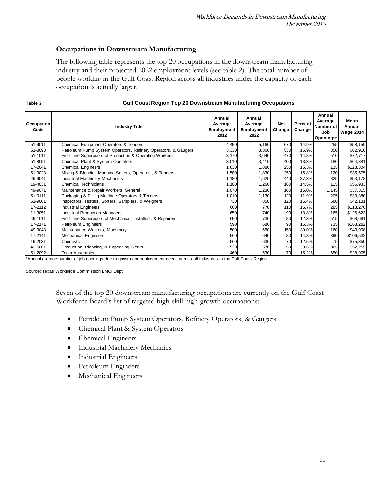#### **Occupations in Downstream Manufacturing**

The following table represents the top 20 occupations in the downstream manufacturing industry and their projected 2022 employment levels (see table 2). The total number of people working in the Gulf Coast Region across all industries under the capacity of each occupation is actually larger.

| Occupation<br>Code | <b>Industry Title</b>                                          | Annual<br>Average<br><b>Employment</b><br>2012 | Annual<br>Average<br>Employment<br>2022 | <b>Net</b><br>Change | Percent<br>Change | Annual<br>Average<br>Number of<br>Job<br>Openings* | Mean<br>Annual<br><b>Wage 2014</b> |
|--------------------|----------------------------------------------------------------|------------------------------------------------|-----------------------------------------|----------------------|-------------------|----------------------------------------------------|------------------------------------|
| 51-9011            | Chemical Equipment Operators & Tenders                         | 4,490                                          | 5,160                                   | 670                  | 14.9%             | 255                                                | \$58,159                           |
| 51-8093            | Petroleum Pump System Operators, Refinery Operators, & Gaugers | 3,330                                          | 3,860                                   | 530                  | 15.9%             | 350                                                | \$62,910                           |
| 51-1011            | First-Line Supervisors of Production & Operating Workers       | 3,170                                          | 3,640                                   | 470                  | 14.8%             | 510                                                | \$72,717                           |
| 51-8091            | Chemical Plant & System Operators                              | 3,010                                          | 3,410                                   | 400                  | 13.3%             | 180                                                | \$64,381                           |
| 17-2041            | <b>Chemical Engineers</b>                                      | 1,630                                          | 1,880                                   | 250                  | 15.3%             | 135                                                | \$128,304                          |
| 51-9023            | Mixing & Blending Machine Setters, Operators, & Tenders        | 1,580                                          | 1,830                                   | 250                  | 15.8%             | 120                                                | \$35,575                           |
| 49-9041            | <b>Industrial Machinery Mechanics</b>                          | 1,180                                          | 1,620                                   | 440                  | 37.3%             | 825                                                | \$53,178                           |
| 19-4031            | <b>Chemical Technicians</b>                                    | 1,100                                          | 1,260                                   | 160                  | 14.5%             | 115                                                | \$56,933                           |
| 49-9071            | Maintenance & Repair Workers, General                          | 1,070                                          | 1,230                                   | 160                  | 15.0%             | 1,145                                              | \$37,315                           |
| 51-9111            | Packaging & Filling Machine Operators & Tenders                | 1,010                                          | 1,130                                   | 120                  | 11.9%             | 205                                                | \$33,380                           |
| 51-9061            | Inspectors, Testers, Sorters, Samplers, & Weighers             | 730                                            | 850                                     | 120                  | 16.4%             | 680                                                | \$42,181                           |
| 17-2112            | <b>Industrial Engineers</b>                                    | 660                                            | 770                                     | 110                  | 16.7%             | 285                                                | \$113,276                          |
| 11-3051            | <b>Industrial Production Managers</b>                          | 650                                            | 740                                     | 90                   | 13.8%             | 165                                                | \$126,623                          |
| 49-1011            | First-Line Supervisors of Mechanics, Installers, & Repairers   | 650                                            | 730                                     | 80                   | 12.3%             | 515                                                | \$68,691                           |
| 17-2171            | Petroleum Engineers                                            | 590                                            | 680                                     | 90                   | 15.3%             | 735                                                | \$168,282                          |
| 49-9043            | Maintenance Workers, Machinery                                 | 500                                            | 650                                     | 150                  | 30.0%             | 160                                                | \$43,998                           |
| 17-2141            | <b>Mechanical Engineers</b>                                    | 560                                            | 640                                     | 80                   | 14.3%             | 390                                                | \$106,532                          |
| 19-2031            | Chemists                                                       | 560                                            | 630                                     | 70                   | 12.5%             | 75                                                 | \$75,350                           |
| 43-5061            | Production, Planning, & Expediting Clerks                      | 520                                            | 570                                     | 50                   | 9.6%              | 365                                                | \$52,255                           |
| 51-2092            | <b>Team Assemblers</b>                                         | 460                                            | 530                                     | 70                   | 15.2%             | 650                                                | \$28,905                           |

#### **Table 2.**

#### **Gulf Coast Region Top 20 Downstream Manufacturing Occupations**

\*Annual average number of job openings due to growth and replacement needs across all industries in the Gulf Coast Region.

Source: Texas Workforce Commission LMCI Dept.

Seven of the top 20 downstream manufacturing occupations are currently on the Gulf Coast Workforce Board's list of targeted high-skill high-growth occupations:

- Petroleum Pump System Operators, Refinery Operators, & Gaugers
- Chemical Plant & System Operators
- Chemical Engineers
- Industrial Machinery Mechanics
- Industrial Engineers
- Petroleum Engineers
- Mechanical Engineers